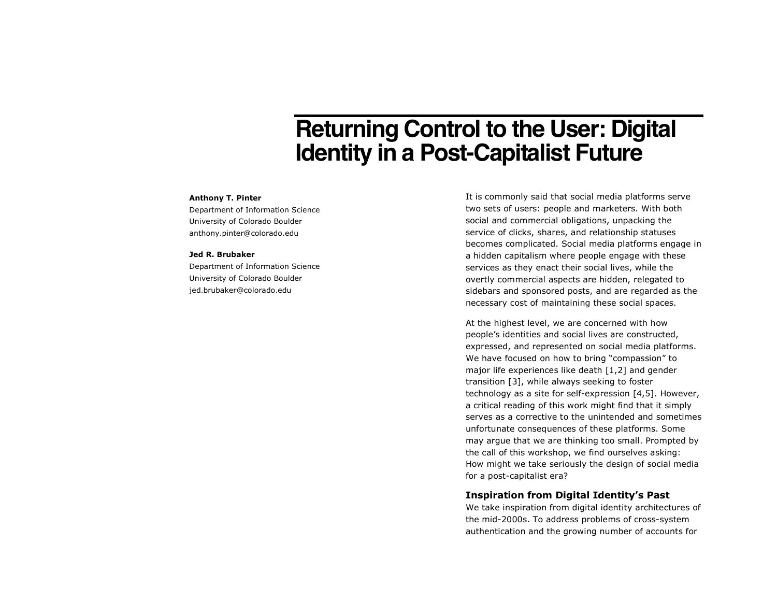# **Returning Control to the User: Digital Identity in a Post-Capitalist Future**

### **Anthony T. Pinter**

Department of Information Science University of Colorado Boulder anthony.pinter@colorado.edu

#### **Jed R. Brubaker**

Department of Information Science University of Colorado Boulder jed.brubaker@colorado.edu

It is commonly said that social media platforms serve two sets of users: people and marketers. With both social and commercial obligations, unpacking the service of clicks, shares, and relationship statuses becomes complicated. Social media platforms engage in a hidden capitalism where people engage with these services as they enact their social lives, while the overtly commercial aspects are hidden, relegated to sidebars and sponsored posts, and are regarded as the necessary cost of maintaining these social spaces.

At the highest level, we are concerned with how people's identities and social lives are constructed, expressed, and represented on social media platforms. We have focused on how to bring "compassion" to major life experiences like death [1,2] and gender transition [3], while always seeking to foster technology as a site for self-expression [4,5]. However, a critical reading of this work might find that it simply serves as a corrective to the unintended and sometimes unfortunate consequences of these platforms. Some may argue that we are thinking too small. Prompted by the call of this workshop, we find ourselves asking: How might we take seriously the design of social media for a post-capitalist era?

# **Inspiration from Digital Identity's Past**

We take inspiration from digital identity architectures of the mid-2000s. To address problems of cross-system authentication and the growing number of accounts for